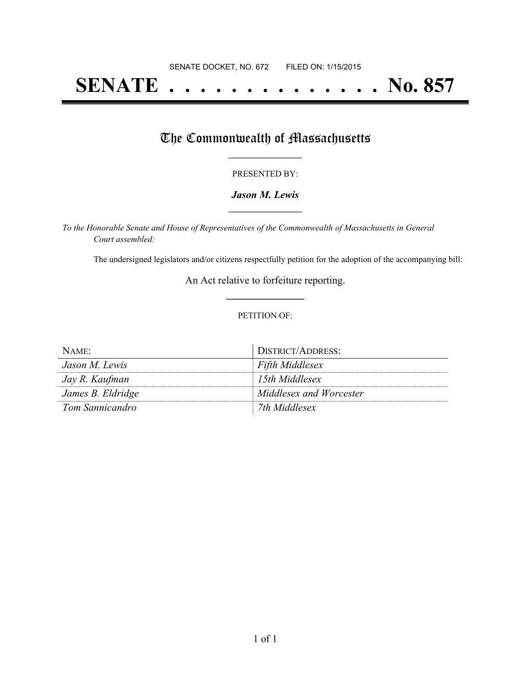# **SENATE . . . . . . . . . . . . . . No. 857**

## The Commonwealth of Massachusetts

#### PRESENTED BY:

#### *Jason M. Lewis* **\_\_\_\_\_\_\_\_\_\_\_\_\_\_\_\_\_**

*To the Honorable Senate and House of Representatives of the Commonwealth of Massachusetts in General Court assembled:*

The undersigned legislators and/or citizens respectfully petition for the adoption of the accompanying bill:

An Act relative to forfeiture reporting. **\_\_\_\_\_\_\_\_\_\_\_\_\_\_\_**

#### PETITION OF:

| $NAME$ :          | DISTRICT/ADDRESS:       |
|-------------------|-------------------------|
| Jason M. Lewis    | Fifth Middlesex         |
| Jay R. Kaufman    | 15th Middlesex          |
| James B. Eldridge | Middlesex and Worcester |
| Tom Sannicandro   | 7th Middlesex           |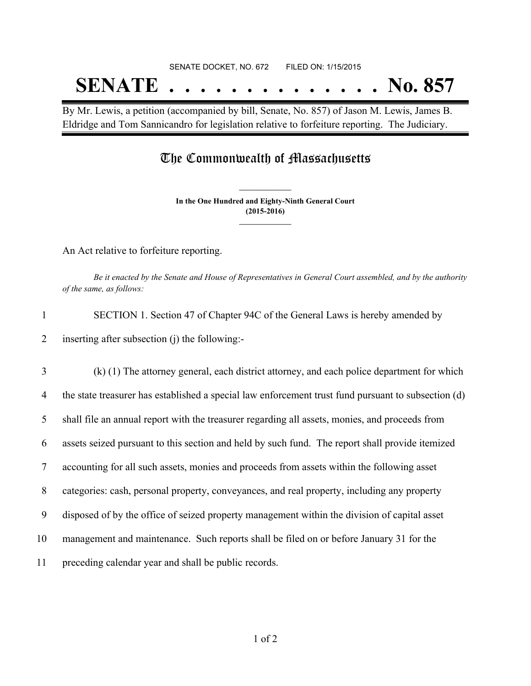# SENATE DOCKET, NO. 672 FILED ON: 1/15/2015 **SENATE . . . . . . . . . . . . . . No. 857**

By Mr. Lewis, a petition (accompanied by bill, Senate, No. 857) of Jason M. Lewis, James B. Eldridge and Tom Sannicandro for legislation relative to forfeiture reporting. The Judiciary.

### The Commonwealth of Massachusetts

**In the One Hundred and Eighty-Ninth General Court (2015-2016) \_\_\_\_\_\_\_\_\_\_\_\_\_\_\_**

**\_\_\_\_\_\_\_\_\_\_\_\_\_\_\_**

An Act relative to forfeiture reporting.

Be it enacted by the Senate and House of Representatives in General Court assembled, and by the authority *of the same, as follows:*

| SECTION 1. Section 47 of Chapter 94C of the General Laws is hereby amended by |
|-------------------------------------------------------------------------------|
| 2 inserting after subsection (j) the following:-                              |

 (k) (1) The attorney general, each district attorney, and each police department for which the state treasurer has established a special law enforcement trust fund pursuant to subsection (d) shall file an annual report with the treasurer regarding all assets, monies, and proceeds from assets seized pursuant to this section and held by such fund. The report shall provide itemized accounting for all such assets, monies and proceeds from assets within the following asset categories: cash, personal property, conveyances, and real property, including any property disposed of by the office of seized property management within the division of capital asset management and maintenance. Such reports shall be filed on or before January 31 for the preceding calendar year and shall be public records.